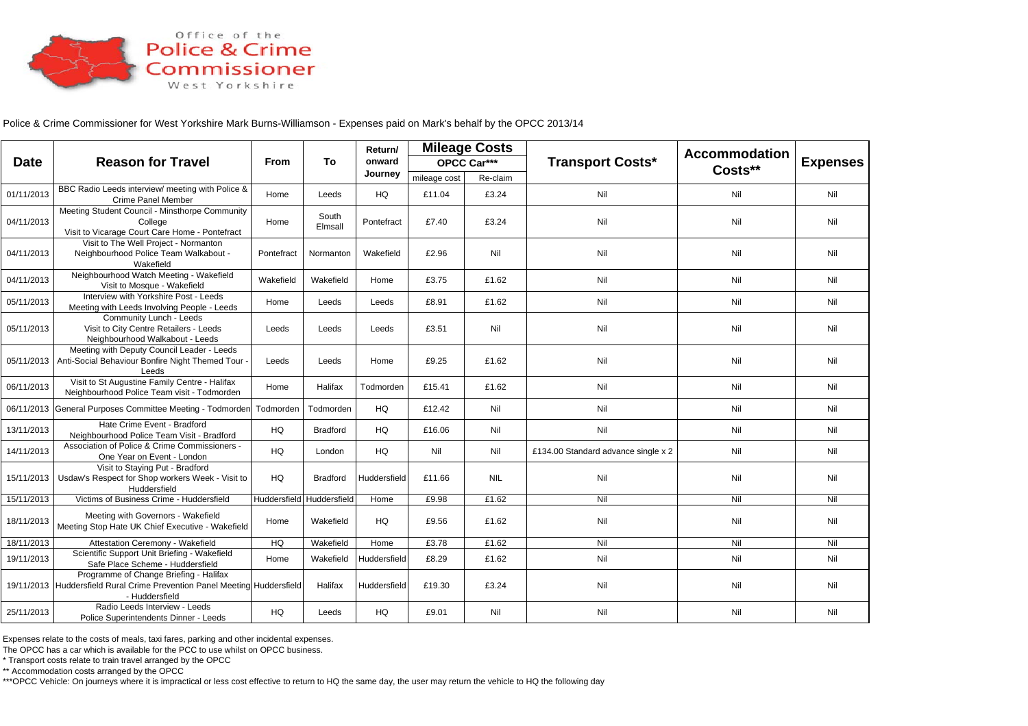

Police & Crime Commissioner for West Yorkshire Mark Burns-Williamson - Expenses paid on Mark's behalf by the OPCC 2013/14

| <b>Date</b> | <b>Reason for Travel</b>                                                                                                              | From                      | To               | Return/<br>onward<br>Journey | <b>Mileage Costs</b>   |                         |                                     | <b>Accommodation</b> |                 |
|-------------|---------------------------------------------------------------------------------------------------------------------------------------|---------------------------|------------------|------------------------------|------------------------|-------------------------|-------------------------------------|----------------------|-----------------|
|             |                                                                                                                                       |                           |                  |                              |                        | OPCC Car***<br>Re-claim | <b>Transport Costs*</b>             | Costs**              | <b>Expenses</b> |
| 01/11/2013  | BBC Radio Leeds interview/ meeting with Police &<br>Crime Panel Member                                                                | Home                      | Leeds            | HQ                           | mileage cost<br>£11.04 | £3.24                   | Nil                                 | Nil                  | Nil             |
| 04/11/2013  | Meeting Student Council - Minsthorpe Community<br>College<br>Visit to Vicarage Court Care Home - Pontefract                           | Home                      | South<br>Elmsall | Pontefract                   | £7.40                  | £3.24                   | Nil                                 | Nil                  | Nil             |
| 04/11/2013  | Visit to The Well Project - Normanton<br>Neighbourhood Police Team Walkabout -<br>Wakefield                                           | Pontefract                | Normanton        | Wakefield                    | £2.96                  | Nil                     | Nil                                 | Nil                  | Nil             |
| 04/11/2013  | Neighbourhood Watch Meeting - Wakefield<br>Visit to Mosque - Wakefield                                                                | Wakefield                 | Wakefield        | Home                         | £3.75                  | £1.62                   | Nil                                 | Nil                  | Nil             |
| 05/11/2013  | Interview with Yorkshire Post - Leeds<br>Meeting with Leeds Involving People - Leeds                                                  | Home                      | Leeds            | Leeds                        | £8.91                  | £1.62                   | Nil                                 | Nil                  | Nil             |
| 05/11/2013  | Community Lunch - Leeds<br>Visit to City Centre Retailers - Leeds<br>Neighbourhood Walkabout - Leeds                                  | Leeds                     | Leeds            | Leeds                        | £3.51                  | Nil                     | Nil                                 | Nil                  | Nil             |
| 05/11/2013  | Meeting with Deputy Council Leader - Leeds<br>Anti-Social Behaviour Bonfire Night Themed Tour<br>Leeds                                | Leeds                     | Leeds            | Home                         | £9.25                  | £1.62                   | Nil                                 | Nil                  | Nil             |
| 06/11/2013  | Visit to St Augustine Family Centre - Halifax<br>Neighbourhood Police Team visit - Todmorden                                          | Home                      | Halifax          | Todmorden                    | £15.41                 | £1.62                   | Nil                                 | Nil                  | Nil             |
|             | 06/11/2013 General Purposes Committee Meeting - Todmorden                                                                             | Todmorden                 | Todmorden        | HQ                           | £12.42                 | Nil                     | Nil                                 | Nil                  | Nil             |
| 13/11/2013  | Hate Crime Event - Bradford<br>Neighbourhood Police Team Visit - Bradford                                                             | HQ                        | <b>Bradford</b>  | HQ                           | £16.06                 | Nil                     | Nil                                 | Nil                  | Nil             |
| 14/11/2013  | Association of Police & Crime Commissioners -<br>One Year on Event - London                                                           | HQ                        | London           | HQ                           | Nil                    | Nil                     | £134.00 Standard advance single x 2 | Nil                  | Nil             |
| 15/11/2013  | Visit to Staying Put - Bradford<br>Usdaw's Respect for Shop workers Week - Visit to<br>Huddersfield                                   | HQ                        | <b>Bradford</b>  | Huddersfield                 | £11.66                 | <b>NIL</b>              | Nil                                 | Nil                  | Nil             |
| 15/11/2013  | Victims of Business Crime - Huddersfield                                                                                              | Huddersfield Huddersfield |                  | Home                         | £9.98                  | £1.62                   | Nil                                 | Nil                  | Nil             |
| 18/11/2013  | Meeting with Governors - Wakefield<br>Meeting Stop Hate UK Chief Executive - Wakefield                                                | Home                      | Wakefield        | HQ                           | £9.56                  | £1.62                   | Nil                                 | Nil                  | Nil             |
| 18/11/2013  | Attestation Ceremony - Wakefield                                                                                                      | HQ                        | Wakefield        | Home                         | £3.78                  | £1.62                   | Nil                                 | Nil                  | Nil             |
| 19/11/2013  | Scientific Support Unit Briefing - Wakefield<br>Safe Place Scheme - Huddersfield                                                      | Home                      | Wakefield        | Huddersfield                 | £8.29                  | £1.62                   | Nil                                 | Nil                  | Nil             |
|             | Programme of Change Briefing - Halifax<br>19/11/2013 Huddersfield Rural Crime Prevention Panel Meeting Huddersfield<br>- Huddersfield |                           | Halifax          | Huddersfield                 | £19.30                 | £3.24                   | Nil                                 | Nil                  | Nil             |
| 25/11/2013  | Radio Leeds Interview - Leeds<br>Police Superintendents Dinner - Leeds                                                                | HQ                        | Leeds            | HQ                           | £9.01                  | Nil                     | Nil                                 | Nil                  | Nil             |

Expenses relate to the costs of meals, taxi fares, parking and other incidental expenses.

The OPCC has a car which is available for the PCC to use whilst on OPCC business.

\* Transport costs relate to train travel arranged by the OPCC

\*\* Accommodation costs arranged by the OPCC

\*\*\*OPCC Vehicle: On journeys where it is impractical or less cost effective to return to HQ the same day, the user may return the vehicle to HQ the following day